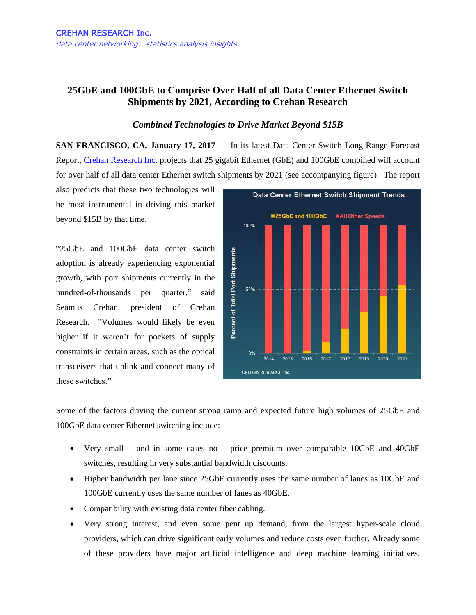## **25GbE and 100GbE to Comprise Over Half of all Data Center Ethernet Switch Shipments by 2021, According to Crehan Research**

## *Combined Technologies to Drive Market Beyond \$15B*

**SAN FRANCISCO, CA, January 17, 2017 —** In its latest Data Center Switch Long-Range Forecast Report, [Crehan Research Inc.](http://www.crehanresearch.com/) projects that 25 gigabit Ethernet (GbE) and 100GbE combined will account for over half of all data center Ethernet switch shipments by 2021 (see accompanying figure). The report

also predicts that these two technologies will be most instrumental in driving this market beyond \$15B by that time.

"25GbE and 100GbE data center switch adoption is already experiencing exponential growth, with port shipments currently in the hundred-of-thousands per quarter," said Seamus Crehan, president of Crehan Research. "Volumes would likely be even higher if it weren't for pockets of supply constraints in certain areas, such as the optical transceivers that uplink and connect many of these switches."



Some of the factors driving the current strong ramp and expected future high volumes of 25GbE and 100GbE data center Ethernet switching include:

- Very small and in some cases no price premium over comparable 10GbE and 40GbE switches, resulting in very substantial bandwidth discounts.
- Higher bandwidth per lane since 25GbE currently uses the same number of lanes as 10GbE and 100GbE currently uses the same number of lanes as 40GbE.
- Compatibility with existing data center fiber cabling.
- Very strong interest, and even some pent up demand, from the largest hyper-scale cloud providers, which can drive significant early volumes and reduce costs even further. Already some of these providers have major artificial intelligence and deep machine learning initiatives.